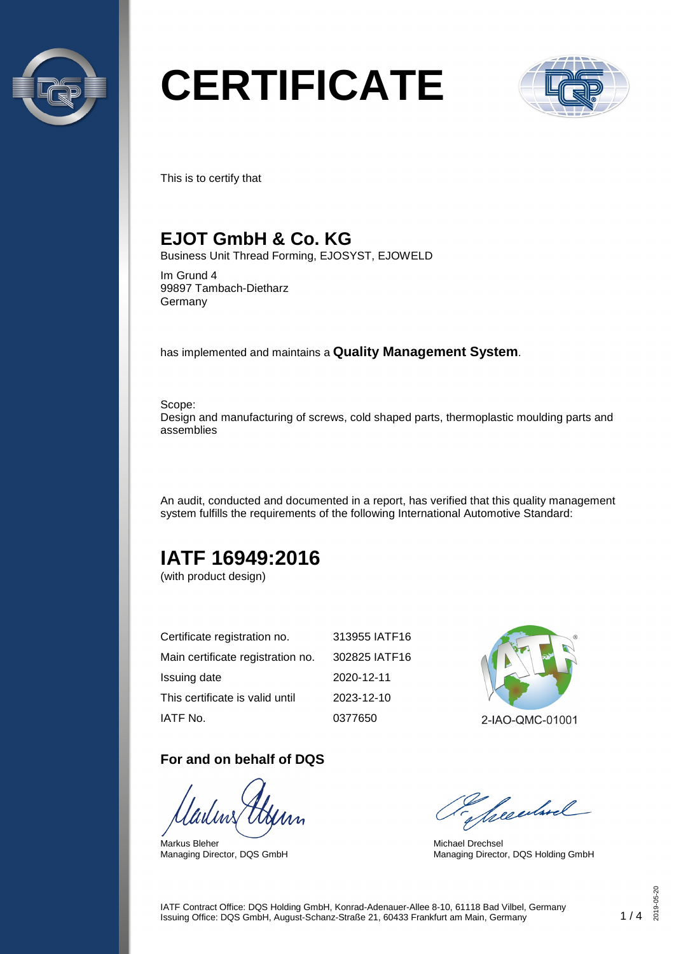

# **CERTIFICATE**



This is to certify that

### **EJOT GmbH & Co. KG**

Business Unit Thread Forming, EJOSYST, EJOWELD

Im Grund 4 99897 Tambach-Dietharz Germany

has implemented and maintains a **Quality Management System**.

Scope: Design and manufacturing of screws, cold shaped parts, thermoplastic moulding parts and assemblies

An audit, conducted and documented in a report, has verified that this quality management system fulfills the requirements of the following International Automotive Standard:

## **IATF 16949:2016**

(with product design)

| Certificate registration no.      | 313955 IATF16 |
|-----------------------------------|---------------|
| Main certificate registration no. | 302825 IATF16 |
| Issuing date                      | 2020-12-11    |
| This certificate is valid until   | 2023-12-10    |
| IATF No.                          | 0377650       |

#### **For and on behalf of DQS**

Markus Bleher Managing Director, DQS GmbH



Seculard

Michael Drechsel Managing Director, DQS Holding GmbH

IATF Contract Office: DQS Holding GmbH, Konrad-Adenauer-Allee 8-10, 61118 Bad Vilbel, Germany Issuing Office: DQS GmbH, August-Schanz-Straße 21, 60433 Frankfurt am Main, Germany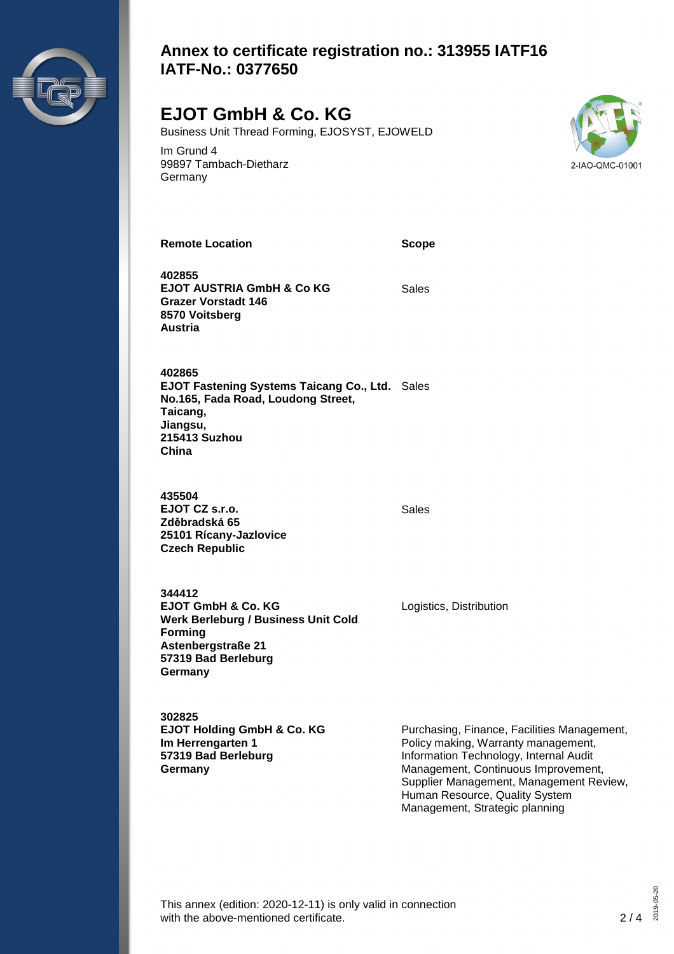

#### **Annex to certificate registration no.: 313955 IATF16 IATF-No.: 0377650**

## **EJOT GmbH & Co. KG**

Business Unit Thread Forming, EJOSYST, EJOWELD

Im Grund 4 99897 Tambach-Dietharz Germany



**Remote Location Scope**

**402855 EJOT AUSTRIA GmbH & Co KG Grazer Vorstadt 146 8570 Voitsberg Austria**

Sales

**402865 EJOT Fastening Systems Taicang Co., Ltd.** Sales **No.165, Fada Road, Loudong Street, Taicang, Jiangsu, 215413 Suzhou China**

**435504 EJOT CZ s.r.o. Zděbradská 65 25101 Rícany-Jazlovice Czech Republic**

Sales

Logistics, Distribution

**344412 EJOT GmbH & Co. KG Werk Berleburg / Business Unit Cold Forming Astenbergstraße 21 57319 Bad Berleburg Germany**

**302825 EJOT Holding GmbH & Co. KG Im Herrengarten 1 57319 Bad Berleburg Germany**

Purchasing, Finance, Facilities Management, Policy making, Warranty management, Information Technology, Internal Audit Management, Continuous Improvement, Supplier Management, Management Review, Human Resource, Quality System Management, Strategic planning

This annex (edition: 2020-12-11) is only valid in connection with the above-mentioned certificate. 2/4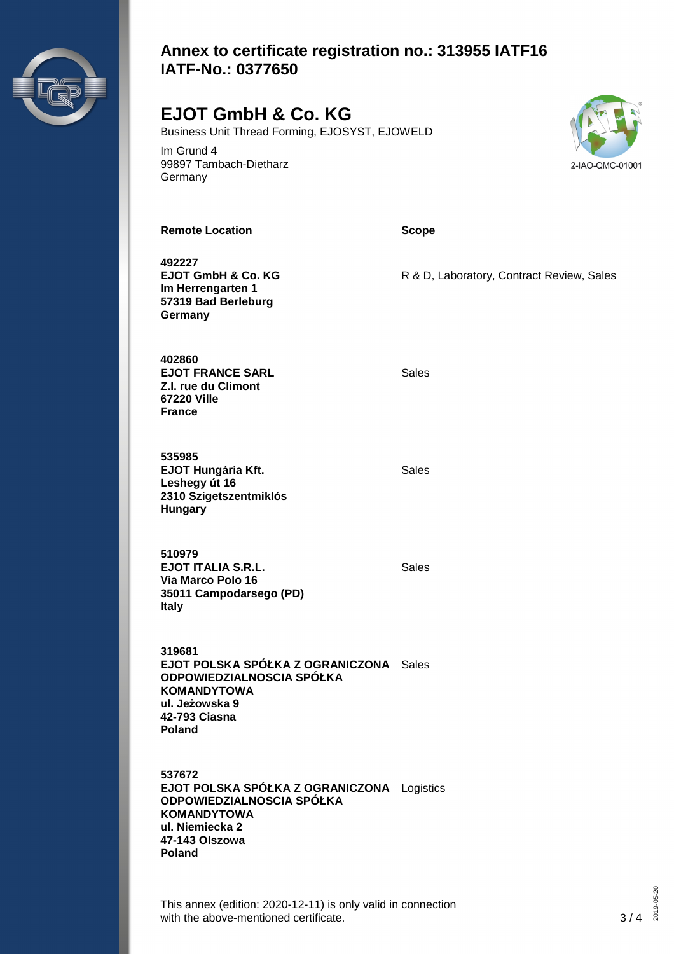

#### **Annex to certificate registration no.: 313955 IATF16 IATF-No.: 0377650**

## **EJOT GmbH & Co. KG**

Business Unit Thread Forming, EJOSYST, EJOWELD

Im Grund 4 99897 Tambach-Dietharz **Germany** 



**Remote Location Scope**

**492227 EJOT GmbH & Co. KG Im Herrengarten 1 57319 Bad Berleburg Germany**

**402860 EJOT FRANCE SARL Z.I. rue du Climont 67220 Ville France**

**535985 EJOT Hungária Kft. Leshegy út 16 2310 Szigetszentmiklós Hungary**

Sales

R & D, Laboratory, Contract Review, Sales

Sales

Sales

**510979 EJOT ITALIA S.R.L. Via Marco Polo 16 35011 Campodarsego (PD) Italy**

**319681 EJOT POLSKA SPÓŁKA Z OGRANICZONA** Sales **ODPOWIEDZIALNOSCIA SPÓŁKA KOMANDYTOWA ul. Jeżowska 9 42-793 Ciasna**

**Poland**

**537672 EJOT POLSKA SPÓŁKA Z OGRANICZONA** Logistics**ODPOWIEDZIALNOSCIA SPÓŁKA KOMANDYTOWA ul. Niemiecka 2 47-143 Olszowa Poland**

This annex (edition: 2020-12-11) is only valid in connection with the above-mentioned certificate. 3/4